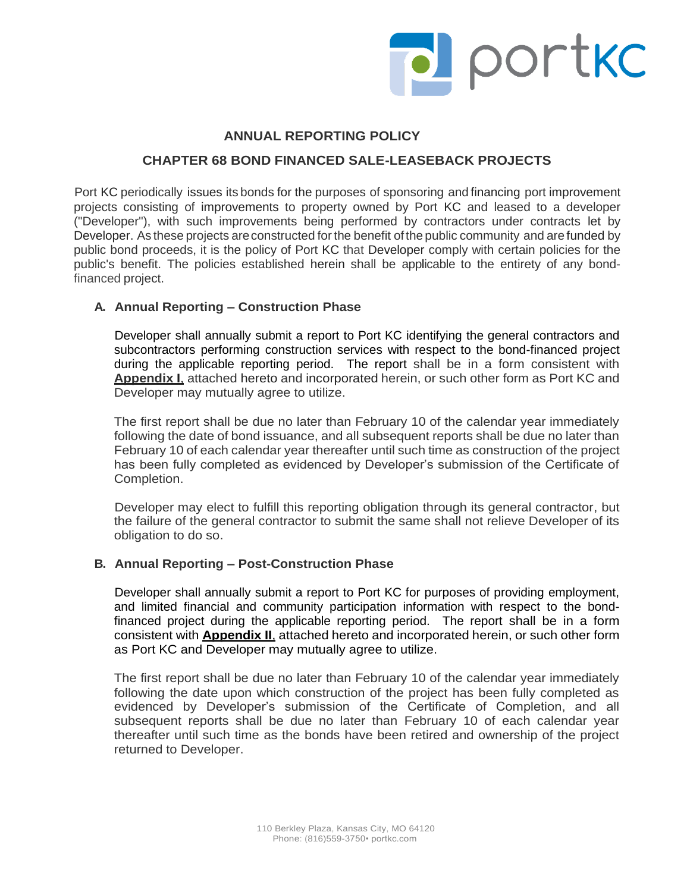

## **ANNUAL REPORTING POLICY**

# **CHAPTER 68 BOND FINANCED SALE-LEASEBACK PROJECTS**

Port KC periodically issues its bonds for the purposes of sponsoring and financing port improvement projects consisting of improvements to property owned by Port KC and leased to a developer ("Developer"), with such improvements being performed by contractors under contracts let by Developer. As these projects are constructed for the benefit of the public community and are funded by public bond proceeds, it is the policy of Port KC that Developer comply with certain policies for the public's benefit. The policies established herein shall be applicable to the entirety of any bondfinanced project.

### **A. Annual Reporting – Construction Phase**

Developer shall annually submit a report to Port KC identifying the general contractors and subcontractors performing construction services with respect to the bond-financed project during the applicable reporting period. The report shall be in a form consistent with **Appendix I**, attached hereto and incorporated herein, or such other form as Port KC and Developer may mutually agree to utilize.

The first report shall be due no later than February 10 of the calendar year immediately following the date of bond issuance, and all subsequent reports shall be due no later than February 10 of each calendar year thereafter until such time as construction of the project has been fully completed as evidenced by Developer's submission of the Certificate of Completion.

Developer may elect to fulfill this reporting obligation through its general contractor, but the failure of the general contractor to submit the same shall not relieve Developer of its obligation to do so.

### **B. Annual Reporting – Post-Construction Phase**

Developer shall annually submit a report to Port KC for purposes of providing employment, and limited financial and community participation information with respect to the bondfinanced project during the applicable reporting period. The report shall be in a form consistent with **Appendix II**, attached hereto and incorporated herein, or such other form as Port KC and Developer may mutually agree to utilize.

The first report shall be due no later than February 10 of the calendar year immediately following the date upon which construction of the project has been fully completed as evidenced by Developer's submission of the Certificate of Completion, and all subsequent reports shall be due no later than February 10 of each calendar year thereafter until such time as the bonds have been retired and ownership of the project returned to Developer.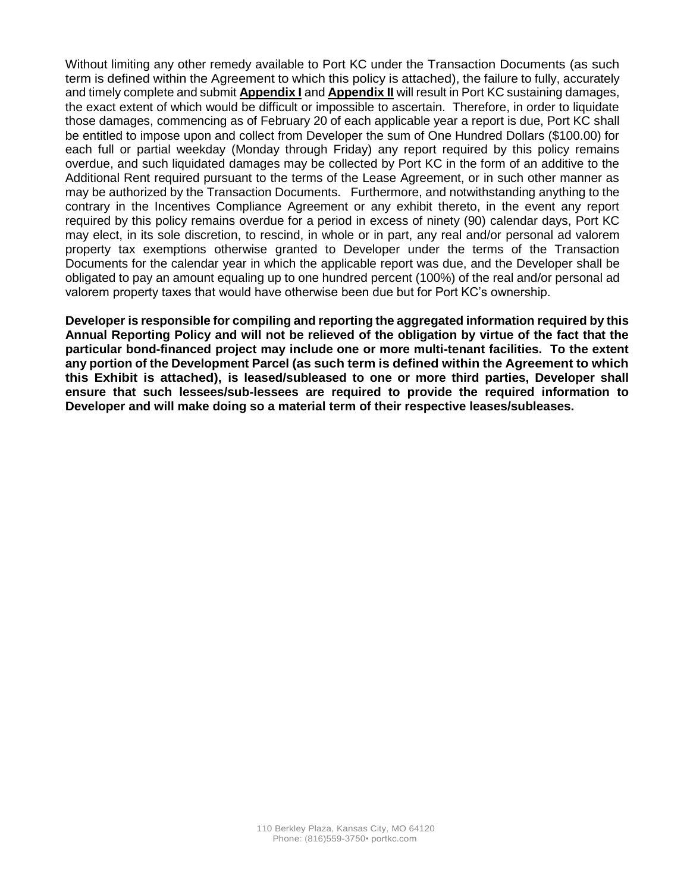Without limiting any other remedy available to Port KC under the Transaction Documents (as such term is defined within the Agreement to which this policy is attached), the failure to fully, accurately and timely complete and submit **Appendix I** and **Appendix II** will result in Port KC sustaining damages, the exact extent of which would be difficult or impossible to ascertain. Therefore, in order to liquidate those damages, commencing as of February 20 of each applicable year a report is due, Port KC shall be entitled to impose upon and collect from Developer the sum of One Hundred Dollars (\$100.00) for each full or partial weekday (Monday through Friday) any report required by this policy remains overdue, and such liquidated damages may be collected by Port KC in the form of an additive to the Additional Rent required pursuant to the terms of the Lease Agreement, or in such other manner as may be authorized by the Transaction Documents. Furthermore, and notwithstanding anything to the contrary in the Incentives Compliance Agreement or any exhibit thereto, in the event any report required by this policy remains overdue for a period in excess of ninety (90) calendar days, Port KC may elect, in its sole discretion, to rescind, in whole or in part, any real and/or personal ad valorem property tax exemptions otherwise granted to Developer under the terms of the Transaction Documents for the calendar year in which the applicable report was due, and the Developer shall be obligated to pay an amount equaling up to one hundred percent (100%) of the real and/or personal ad valorem property taxes that would have otherwise been due but for Port KC's ownership.

**Developer is responsible for compiling and reporting the aggregated information required by this Annual Reporting Policy and will not be relieved of the obligation by virtue of the fact that the particular bond-financed project may include one or more multi-tenant facilities. To the extent any portion of the Development Parcel (as such term is defined within the Agreement to which this Exhibit is attached), is leased/subleased to one or more third parties, Developer shall ensure that such lessees/sub-lessees are required to provide the required information to Developer and will make doing so a material term of their respective leases/subleases.**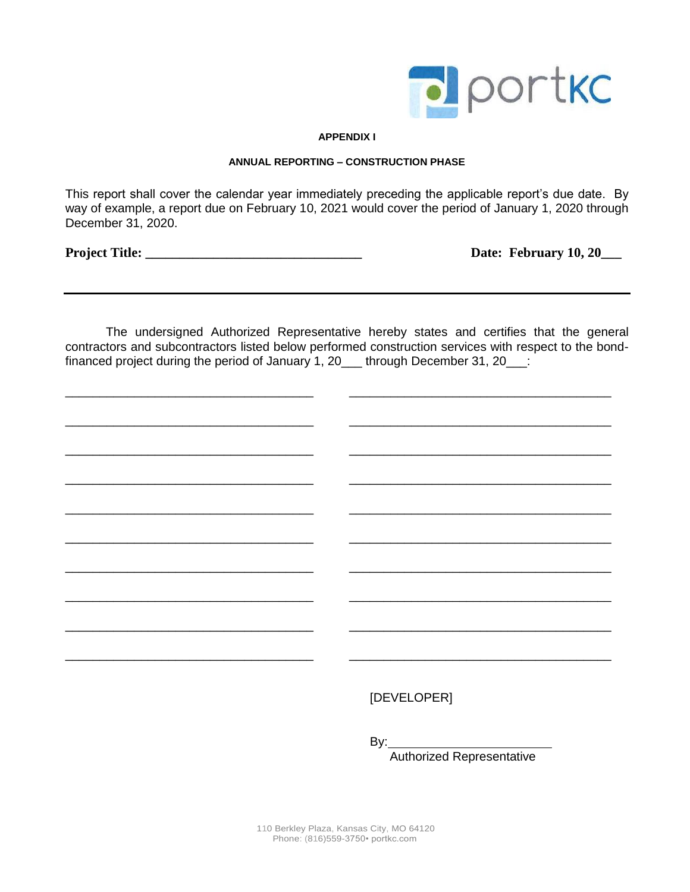

#### **APPENDIX I**

#### **ANNUAL REPORTING – CONSTRUCTION PHASE**

This report shall cover the calendar year immediately preceding the applicable report's due date. By way of example, a report due on February 10, 2021 would cover the period of January 1, 2020 through December 31, 2020.

**Project Title: \_\_\_\_\_\_\_\_\_\_\_\_\_\_\_\_\_\_\_\_\_\_\_\_\_\_\_\_\_\_\_\_ Date: February 10, 20\_\_\_**

The undersigned Authorized Representative hereby states and certifies that the general contractors and subcontractors listed below performed construction services with respect to the bondfinanced project during the period of January 1, 20  $\pm$  through December 31, 20  $\pm$ 

\_\_\_\_\_\_\_\_\_\_\_\_\_\_\_\_\_\_\_\_\_\_\_\_\_\_\_\_\_\_\_\_\_\_\_\_ \_\_\_\_\_\_\_\_\_\_\_\_\_\_\_\_\_\_\_\_\_\_\_\_\_\_\_\_\_\_\_\_\_\_\_\_\_\_

\_\_\_\_\_\_\_\_\_\_\_\_\_\_\_\_\_\_\_\_\_\_\_\_\_\_\_\_\_\_\_\_\_\_\_\_ \_\_\_\_\_\_\_\_\_\_\_\_\_\_\_\_\_\_\_\_\_\_\_\_\_\_\_\_\_\_\_\_\_\_\_\_\_\_

\_\_\_\_\_\_\_\_\_\_\_\_\_\_\_\_\_\_\_\_\_\_\_\_\_\_\_\_\_\_\_\_\_\_\_\_ \_\_\_\_\_\_\_\_\_\_\_\_\_\_\_\_\_\_\_\_\_\_\_\_\_\_\_\_\_\_\_\_\_\_\_\_\_\_

\_\_\_\_\_\_\_\_\_\_\_\_\_\_\_\_\_\_\_\_\_\_\_\_\_\_\_\_\_\_\_\_\_\_\_\_ \_\_\_\_\_\_\_\_\_\_\_\_\_\_\_\_\_\_\_\_\_\_\_\_\_\_\_\_\_\_\_\_\_\_\_\_\_\_

\_\_\_\_\_\_\_\_\_\_\_\_\_\_\_\_\_\_\_\_\_\_\_\_\_\_\_\_\_\_\_\_\_\_\_\_ \_\_\_\_\_\_\_\_\_\_\_\_\_\_\_\_\_\_\_\_\_\_\_\_\_\_\_\_\_\_\_\_\_\_\_\_\_\_

\_\_\_\_\_\_\_\_\_\_\_\_\_\_\_\_\_\_\_\_\_\_\_\_\_\_\_\_\_\_\_\_\_\_\_\_ \_\_\_\_\_\_\_\_\_\_\_\_\_\_\_\_\_\_\_\_\_\_\_\_\_\_\_\_\_\_\_\_\_\_\_\_\_\_

\_\_\_\_\_\_\_\_\_\_\_\_\_\_\_\_\_\_\_\_\_\_\_\_\_\_\_\_\_\_\_\_\_\_\_\_ \_\_\_\_\_\_\_\_\_\_\_\_\_\_\_\_\_\_\_\_\_\_\_\_\_\_\_\_\_\_\_\_\_\_\_\_\_\_

\_\_\_\_\_\_\_\_\_\_\_\_\_\_\_\_\_\_\_\_\_\_\_\_\_\_\_\_\_\_\_\_\_\_\_\_ \_\_\_\_\_\_\_\_\_\_\_\_\_\_\_\_\_\_\_\_\_\_\_\_\_\_\_\_\_\_\_\_\_\_\_\_\_\_

\_\_\_\_\_\_\_\_\_\_\_\_\_\_\_\_\_\_\_\_\_\_\_\_\_\_\_\_\_\_\_\_\_\_\_\_ \_\_\_\_\_\_\_\_\_\_\_\_\_\_\_\_\_\_\_\_\_\_\_\_\_\_\_\_\_\_\_\_\_\_\_\_\_\_

\_\_\_\_\_\_\_\_\_\_\_\_\_\_\_\_\_\_\_\_\_\_\_\_\_\_\_\_\_\_\_\_\_\_\_\_ \_\_\_\_\_\_\_\_\_\_\_\_\_\_\_\_\_\_\_\_\_\_\_\_\_\_\_\_\_\_\_\_\_\_\_\_\_\_

[DEVELOPER]

By:

Authorized Representative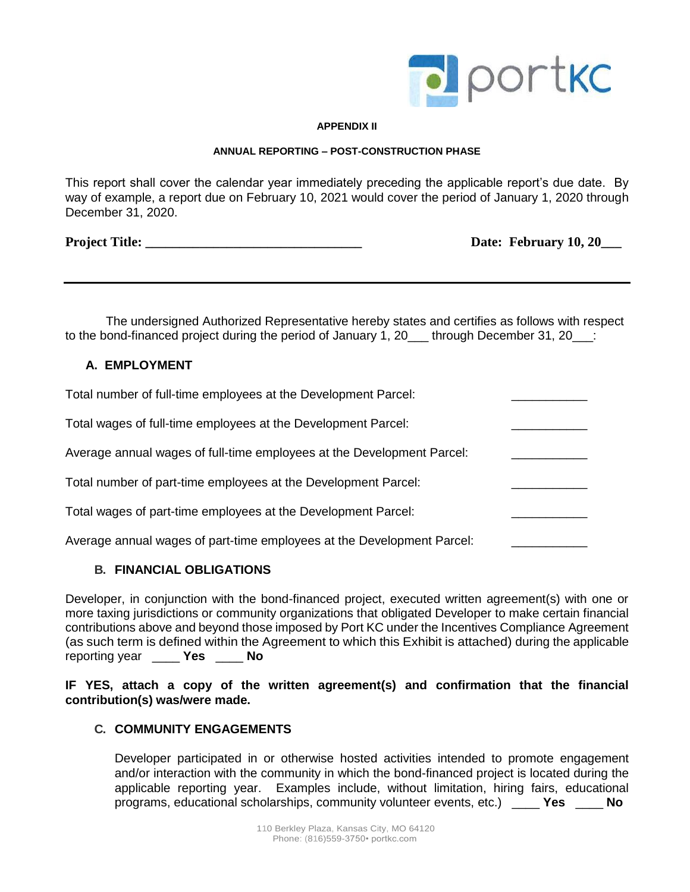

#### **APPENDIX II**

#### **ANNUAL REPORTING – POST-CONSTRUCTION PHASE**

This report shall cover the calendar year immediately preceding the applicable report's due date. By way of example, a report due on February 10, 2021 would cover the period of January 1, 2020 through December 31, 2020.

**Project Title: Date: February 10, 20** 

The undersigned Authorized Representative hereby states and certifies as follows with respect to the bond-financed project during the period of January 1, 20 through December 31, 20  $\pm$ 

### **A. EMPLOYMENT**

| Total number of full-time employees at the Development Parcel:         |  |
|------------------------------------------------------------------------|--|
| Total wages of full-time employees at the Development Parcel:          |  |
| Average annual wages of full-time employees at the Development Parcel: |  |
| Total number of part-time employees at the Development Parcel:         |  |
| Total wages of part-time employees at the Development Parcel:          |  |
| Average annual wages of part-time employees at the Development Parcel: |  |

### **B. FINANCIAL OBLIGATIONS**

Developer, in conjunction with the bond-financed project, executed written agreement(s) with one or more taxing jurisdictions or community organizations that obligated Developer to make certain financial contributions above and beyond those imposed by Port KC under the Incentives Compliance Agreement (as such term is defined within the Agreement to which this Exhibit is attached) during the applicable reporting year \_\_\_\_ **Yes** \_\_\_\_ **No**

**IF YES, attach a copy of the written agreement(s) and confirmation that the financial contribution(s) was/were made.**

### **C. COMMUNITY ENGAGEMENTS**

Developer participated in or otherwise hosted activities intended to promote engagement and/or interaction with the community in which the bond-financed project is located during the applicable reporting year. Examples include, without limitation, hiring fairs, educational programs, educational scholarships, community volunteer events, etc.) \_\_\_\_ **Yes** \_\_\_\_ **No**